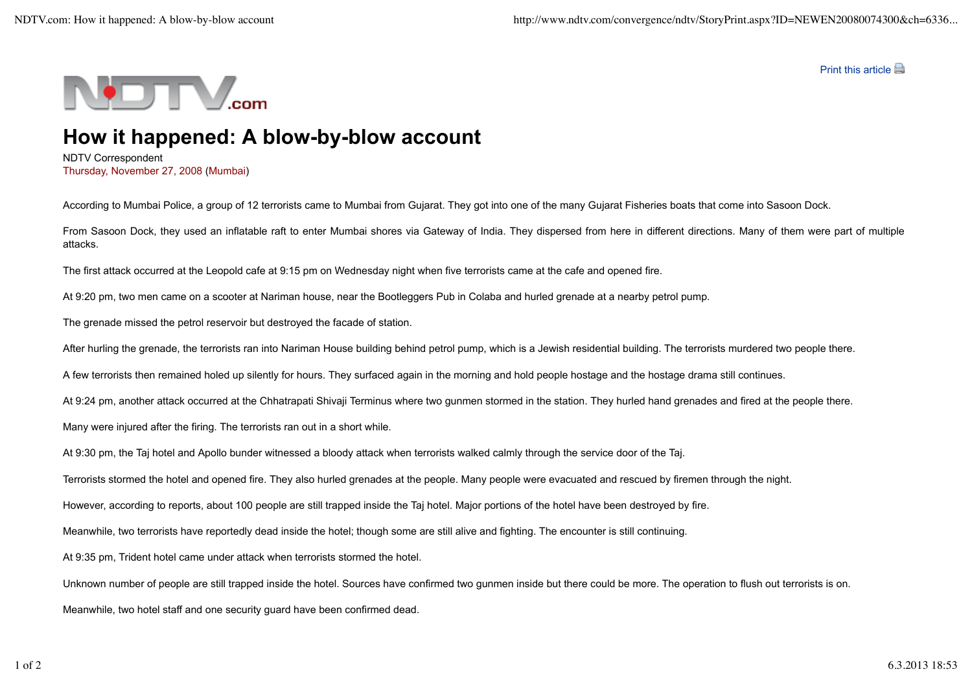Print this article



## **How it happened: A blow-by-blow account**

NDTV Correspondent Thursday, November 27, 2008 (Mumbai)

According to Mumbai Police, a group of 12 terrorists came to Mumbai from Gujarat. They got into one of the many Gujarat Fisheries boats that come into Sasoon Dock.

From Sasoon Dock, they used an inflatable raft to enter Mumbai shores via Gateway of India. They dispersed from here in different directions. Many of them were part of multiple attacks.

The first attack occurred at the Leopold cafe at 9:15 pm on Wednesday night when five terrorists came at the cafe and opened fire.

At 9:20 pm, two men came on a scooter at Nariman house, near the Bootleggers Pub in Colaba and hurled grenade at a nearby petrol pump.

The grenade missed the petrol reservoir but destroyed the facade of station.

After hurling the grenade, the terrorists ran into Nariman House building behind petrol pump, which is a Jewish residential building. The terrorists murdered two people there.

A few terrorists then remained holed up silently for hours. They surfaced again in the morning and hold people hostage and the hostage drama still continues.

At 9:24 pm, another attack occurred at the Chhatrapati Shivaji Terminus where two gunmen stormed in the station. They hurled hand grenades and fired at the people there.

Many were injured after the firing. The terrorists ran out in a short while.

At 9:30 pm, the Taj hotel and Apollo bunder witnessed a bloody attack when terrorists walked calmly through the service door of the Taj.

Terrorists stormed the hotel and opened fire. They also hurled grenades at the people. Many people were evacuated and rescued by firemen through the night.

However, according to reports, about 100 people are still trapped inside the Taj hotel. Major portions of the hotel have been destroyed by fire.

Meanwhile, two terrorists have reportedly dead inside the hotel; though some are still alive and fighting. The encounter is still continuing.

At 9:35 pm, Trident hotel came under attack when terrorists stormed the hotel.

Unknown number of people are still trapped inside the hotel. Sources have confirmed two gunmen inside but there could be more. The operation to flush out terrorists is on.

Meanwhile, two hotel staff and one security guard have been confirmed dead.